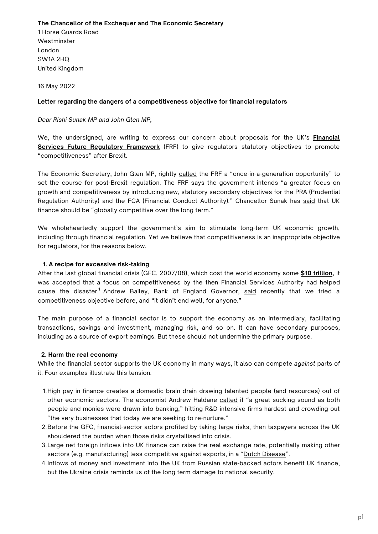## **The Chancellor of the Exchequer and The Economic Secretary**

1 Horse Guards Road Westminster London SW1A 2HQ United Kingdom

16 May 2022

## **Letter regarding the dangers of a competitiveness objective for financial regulators**

*Dear Rishi Sunak MP and John Glen MP,*

We, the [undersigned,](https://assets.publishing.service.gov.uk/government/uploads/system/uploads/attachment_data/file/1032075/FRF_Review_Consultation_2021_-_Final_.pdf) are writing to express our concern about proposals for the UK's **Financial Services Future Regulatory Framework** (FRF) to give regulators statutory objectives to promote "competitiveness" after Brexit.

The Economic Secretary, John Glen MP, rightly [called](https://questions-statements.parliament.uk/written-statements/detail/2021-11-09/hcws382) the FRF a "once-in-a-generation opportunity" to set the course for post-Brexit regulation. The FRF says the government intends "a greater focus on growth and competitiveness by introducing new, statutory secondary objectives for the PRA (Prudential Regulation Authority) and the FCA (Financial Conduct Authority)." Chancellor Sunak has [said](https://www.bankofengland.co.uk/-/media/boe/files/letter/2021/march/fpc-remit-and-recommendations-letter-2021.pdf?la=en&hash=3C5B23BE764387498155F61CAF255417E665CCE8) that UK finance should be "globally competitive over the long term."

We wholeheartedly support the government's aim to stimulate long-term UK economic growth, including through financial regulation. Yet we believe that competitiveness is an inappropriate objective for regulators, for the reasons below.

## **1. A recipe for excessive risk-taking**

After the last global financial crisis (GFC, 2007/08), which cost the world economy some **\$10 [trillion,](https://www.chathamhouse.org/2018/01/lasting-effects-financial-crisis-have-yet-be-felt)** it was accepted that a focus on competitiveness by the then Financial Services Authority had helped cause the disaster.<sup>1</sup> Andrew Bailey, Bank of England Governor, <u>[said](https://www.fca.org.uk/news/speeches/future-financial-conduct-regulation)</u> recently that we tried a competitiveness objective before, and "it didn't end well, for anyone."

The main purpose of a financial sector is to support the economy as an intermediary, facilitating transactions, savings and investment, managing risk, and so on. It can have secondary purposes, including as a source of export earnings. But these should not undermine the primary purpose.

## **2. Harm the real economy**

While the financial sector supports the UK economy in many ways, it also can compete *against* parts of it. Four examples illustrate this tension.

- High pay in finance creates a domestic brain drain drawing talented people (and resources) out of 1. other economic sectors. The economist Andrew Haldane [called](https://www.bankofengland.co.uk/-/media/boe/files/speech/2012/a-leaf-being-turned.pdf?la=en&hash=9D64DA9F3CCB9EDE938683E205F7686D072B1F5E) it "a great sucking sound as both people and monies were drawn into banking," hitting R&D-intensive firms hardest and crowding out "the very businesses that today we are seeking to re-nurture."
- 2.Before the GFC, financial-sector actors profited by taking large risks, then taxpayers across the UK shouldered the burden when those risks crystallised into crisis.
- Large net foreign inflows into UK finance can raise the real exchange rate, potentially making other 3. sectors (e.g. manufacturing) less competitive against exports, in a "Dutch [Disease](https://www.ippr.org/research/publications/on-borrowed-time)".
- 4. Inflows of money and investment into the UK from Russian state-backed actors benefit UK finance, but the Ukraine crisis reminds us of the long term [damage](https://isc.independent.gov.uk/wp-content/uploads/2021/01/20200721_Russia_Press_Notice.pdf) to national security.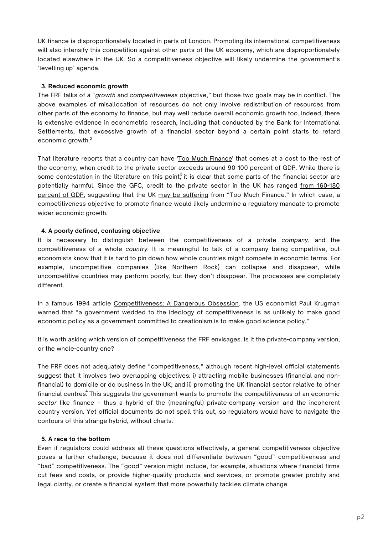UK finance is disproportionately located in parts of London. Promoting its international competitiveness will also intensify this competition against other parts of the UK economy, which are disproportionately located elsewhere in the UK. So a competitiveness objective will likely undermine the government's 'levelling up' agenda.

## **3. Reduced economic growth**

The FRF talks of a "*growth* and *competitiveness* objective," but those two goals may be in conflict. The above examples of misallocation of resources do not only involve redistribution of resources from other parts of the economy to finance, but may well reduce overall economic growth too. Indeed, there is extensive evidence in econometric research, including that conducted by the Bank for International Settlements, that excessive growth of a financial sector beyond a certain point starts to retard economic growth. 2

That literature reports that a country can have 'Too Much [Finance](https://www.imf.org/external/pubs/ft/wp/2012/wp12161.pdf)' that comes at a cost to the rest of the economy, when credit to the private sector exceeds around 90-100 percent of GDP. While there is some contestation in the literature on this point,<sup>3</sup> it is clear that some parts of the financial sector are potentially harmful. Since the GFC, credit to the private sector in the UK has ranged from 160-180 percent of GDP, [suggesting](https://fred.stlouisfed.org/series/QGBPAM770A) that the UK may be [suffering](https://speri.dept.shef.ac.uk/wp-content/uploads/2019/01/SPERI-The-UKs-Finance-Curse-Costs-and-Processes.pdf) from "Too Much Finance." In which case, a competitiveness objective to promote finance would likely undermine a regulatory mandate to promote wider economic growth.

## **4. A poorly defined, confusing objective**

It is necessary to distinguish between the competitiveness of a private *company*, and the competitiveness of a whole *country.* It is meaningful to talk of a company being competitive, but economists know that it is hard to pin down how whole countries might compete in economic terms. For example, uncompetitive companies (like Northern Rock) can collapse and disappear, while uncompetitive countries may perform poorly, but they don't disappear. The processes are completely different.

In a famous 1994 article [Competitiveness:](https://www.foreignaffairs.com/articles/1994-03-01/competitiveness-dangerous-obsession) A Dangerous Obsession*,* the US economist Paul Krugman warned that "a government wedded to the ideology of competitiveness is as unlikely to make good economic policy as a government committed to creationism is to make good science policy."

It is worth asking which version of competitiveness the FRF envisages. Is it the private-company version, or the whole-country one?

The FRF does not adequately define "competitiveness," although recent high-level official statements suggest that it involves two overlapping objectives: i) attracting mobile businesses (financial and nonfinancial) to domicile or do business in the UK; and ii) promoting the UK financial sector relative to other financial centres $\stackrel{4}{\cdot}$  This suggests the government wants to promote the competitiveness of an economic *sector* like finance – thus a hybrid of the (meaningful) private-company version and the incoherent country version. Yet official documents do not spell this out, so regulators would have to navigate the contours of this strange hybrid, without charts.

## **5. A race to the bottom**

Even if regulators could address all these questions effectively, a general competitiveness objective poses a further challenge, because it does not differentiate between "good" competitiveness and "bad" competitiveness. The "good" version might include, for example, situations where financial firms cut fees and costs, or provide higher-quality products and services, or promote greater probity and legal clarity, or create a financial system that more powerfully tackles climate change.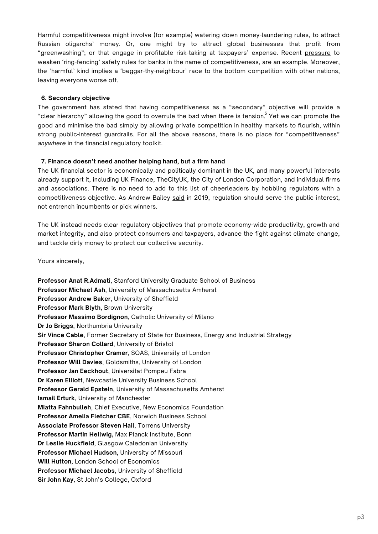Harmful competitiveness might involve (for example) watering down money-laundering rules, to attract Russian oligarchs' money. Or, one might try to attract global businesses that profit from "greenwashing"; or that engage in profitable risk-taking at taxpayers' expense. Recent [pressure](https://www.reuters.com/business/finance/dismantle-ring-fencing-rules-safeguard-competitiveness-say-britains-banks-2021-10-01/) to weaken 'ring-fencing' safety rules for banks in the name of competitiveness, are an example. Moreover, the 'harmful' kind implies a 'beggar-thy-neighbour' race to the bottom competition with other nations, leaving everyone worse off.

## **6. Secondary objective**

The government has stated that having competitiveness as a "secondary" objective will provide a "clear hierarchy" allowing the good to overrule the bad when there is tension.  $\mathrm{^{5}}$  Yet we can promote the good and minimise the bad simply by allowing private competition in healthy markets to flourish, within strong public-interest guardrails. For all the above reasons, there is no place for "competitiveness" *anywhere* in the financial regulatory toolkit.

#### **7. Finance doesn't need another helping hand, but a firm hand**

The UK financial sector is economically and politically dominant in the UK, and many powerful interests already support it, including UK Finance, TheCityUK, the City of London Corporation, and individual firms and associations. There is no need to add to this list of cheerleaders by hobbling regulators with a competitiveness objective. As Andrew Bailey [said](https://www.fca.org.uk/news/speeches/future-financial-conduct-regulation) in 2019, regulation should serve the public interest, not entrench incumbents or pick winners.

The UK instead needs clear regulatory objectives that promote economy-wide productivity, growth and market integrity, and also protect consumers and taxpayers, advance the fight against climate change, and tackle dirty money to protect our collective security.

Yours sincerely,

**Professor Anat R.Admati**, Stanford University Graduate School of Business **Professor Michael Ash**, University of Massachusetts Amherst **Professor Andrew Baker**, University of Sheffield **Professor Mark Blyth**, Brown University **Professor Massimo Bordignon**, Catholic University of Milano **Dr Jo Briggs**, Northumbria University **Sir Vince Cable**, Former Secretary of State for Business, Energy and Industrial Strategy **Professor Sharon Collard**, University of Bristol **Professor Christopher Cramer**, SOAS, University of London **Professor Will Davies**, Goldsmiths, University of London **Professor Jan Eeckhout**, Universitat Pompeu Fabra **Dr Karen Elliott**, Newcastle University Business School **Professor Gerald Epstein**, University of Massachusetts Amherst **Ismail Erturk**, University of Manchester **Miatta Fahnbulleh**, Chief Executive, New Economics Foundation **Professor Amelia Fletcher CBE**, Norwich Business School **Associate Professor Steven Hail**, Torrens University **Professor Martin Hellwig,** Max Planck Institute, Bonn **Dr Leslie Huckfield**, Glasgow Caledonian University **Professor Michael Hudson**, University of Missouri **Will Hutton**, London School of Economics **Professor Michael Jacobs**, University of Sheffield **Sir John Kay**, St John's College, Oxford